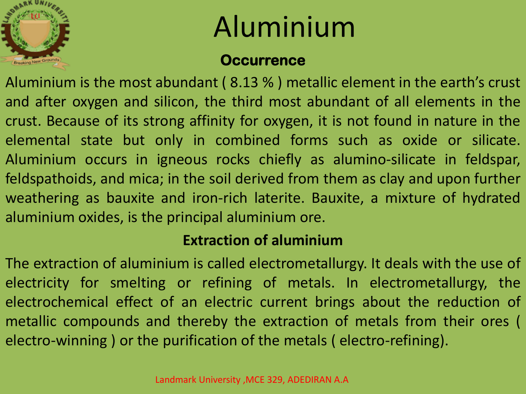

## Aluminium

#### **Occurrence**

Aluminium is the most abundant ( 8.13 % ) metallic element in the earth's crust and after oxygen and silicon, the third most abundant of all elements in the crust. Because of its strong affinity for oxygen, it is not found in nature in the elemental state but only in combined forms such as oxide or silicate. Aluminium occurs in igneous rocks chiefly as alumino-silicate in feldspar, feldspathoids, and mica; in the soil derived from them as clay and upon further weathering as bauxite and iron-rich laterite. Bauxite, a mixture of hydrated aluminium oxides, is the principal aluminium ore.

#### **Extraction of aluminium**

The extraction of aluminium is called electrometallurgy. It deals with the use of electricity for smelting or refining of metals. In electrometallurgy, the electrochemical effect of an electric current brings about the reduction of metallic compounds and thereby the extraction of metals from their ores ( electro-winning ) or the purification of the metals ( electro-refining).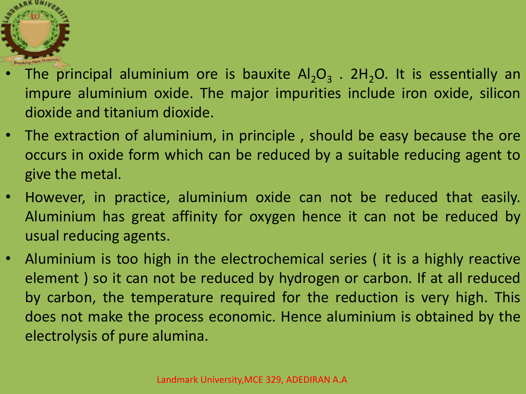

- The principal aluminium ore is bauxite  $Al_2O_3$  .  $2H_2O$ . It is essentially an impure aluminium oxide. The major impurities include iron oxide, silicon dioxide and titanium dioxide.
- The extraction of aluminium, in principle , should be easy because the ore occurs in oxide form which can be reduced by a suitable reducing agent to give the metal.
- However, in practice, aluminium oxide can not be reduced that easily. Aluminium has great affinity for oxygen hence it can not be reduced by usual reducing agents.
- Aluminium is too high in the electrochemical series ( it is a highly reactive element ) so it can not be reduced by hydrogen or carbon. If at all reduced by carbon, the temperature required for the reduction is very high. This does not make the process economic. Hence aluminium is obtained by the electrolysis of pure alumina.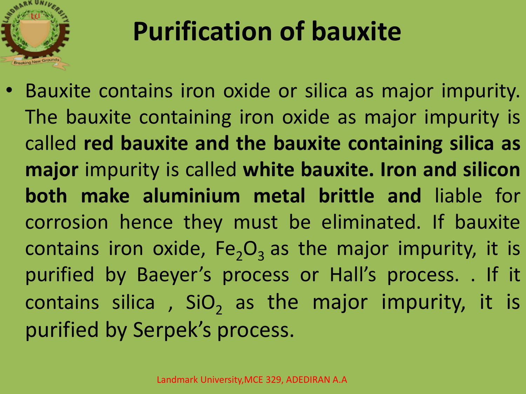

### **Purification of bauxite**

• Bauxite contains iron oxide or silica as major impurity. The bauxite containing iron oxide as major impurity is called **red bauxite and the bauxite containing silica as major** impurity is called **white bauxite. Iron and silicon both make aluminium metal brittle and** liable for corrosion hence they must be eliminated. If bauxite contains iron oxide,  $Fe<sub>2</sub>O<sub>3</sub>$  as the major impurity, it is purified by Baeyer's process or Hall's process. . If it contains silica,  $SiO<sub>2</sub>$  as the major impurity, it is purified by Serpek's process.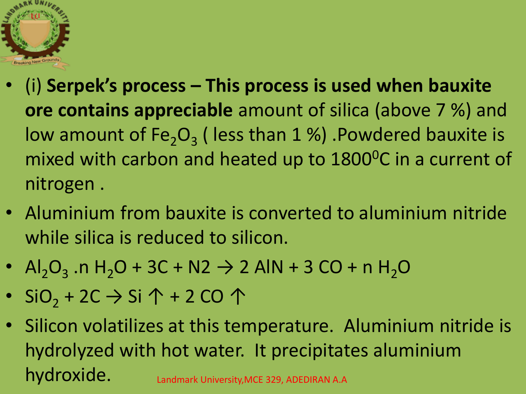

- (i) **Serpek's process – This process is used when bauxite ore contains appreciable** amount of silica (above 7 %) and low amount of  $Fe<sub>2</sub>O<sub>3</sub>$  (less than 1 %) .Powdered bauxite is mixed with carbon and heated up to 1800<sup>o</sup>C in a current of nitrogen .
- Aluminium from bauxite is converted to aluminium nitride while silica is reduced to silicon.
- Al<sub>2</sub>O<sub>3</sub> .n H<sub>2</sub>O + 3C + N2  $\rightarrow$  2 AlN + 3 CO + n H<sub>2</sub>O
- SiO<sub>2</sub> + 2C  $\rightarrow$  Si  $\uparrow$  + 2 CO  $\uparrow$
- Silicon volatilizes at this temperature. Aluminium nitride is hydrolyzed with hot water. It precipitates aluminium hydroxide. Landmark University, MCE 329, ADEDIRAN A.A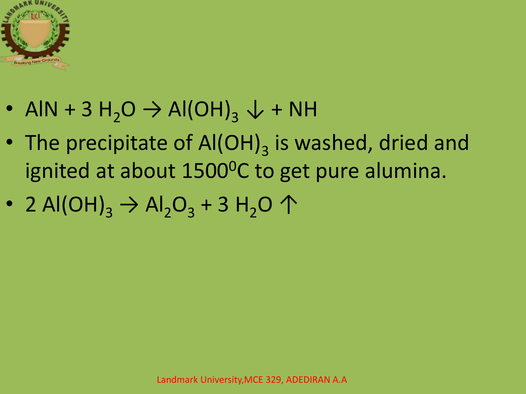

- AlN + 3 H<sub>2</sub>O  $\rightarrow$  Al(OH)<sub>3</sub>  $\downarrow$  + NH
- The precipitate of  $AI(OH)_3$  is washed, dried and ignited at about 1500<sup>o</sup>C to get pure alumina.
- 2 Al(OH)<sub>3</sub>  $\rightarrow$  Al<sub>2</sub>O<sub>3</sub> + 3 H<sub>2</sub>O  $\uparrow$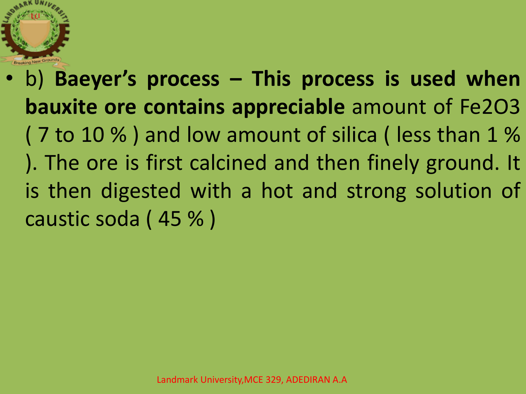

• b) **Baeyer's process – This process is used when bauxite ore contains appreciable** amount of Fe2O3 ( 7 to 10 % ) and low amount of silica ( less than 1 % ). The ore is first calcined and then finely ground. It is then digested with a hot and strong solution of caustic soda ( 45 % )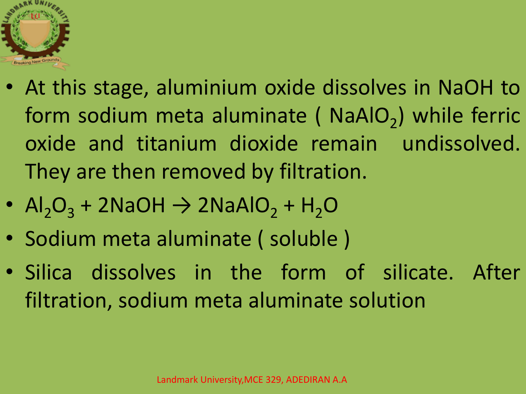

- At this stage, aluminium oxide dissolves in NaOH to form sodium meta aluminate ( $NaAIO<sub>2</sub>$ ) while ferric oxide and titanium dioxide remain undissolved. They are then removed by filtration.
- $AI_2O_3$  + 2NaOH  $\rightarrow$  2NaAlO<sub>2</sub> + H<sub>2</sub>O
- Sodium meta aluminate ( soluble )
- Silica dissolves in the form of silicate. After filtration, sodium meta aluminate solution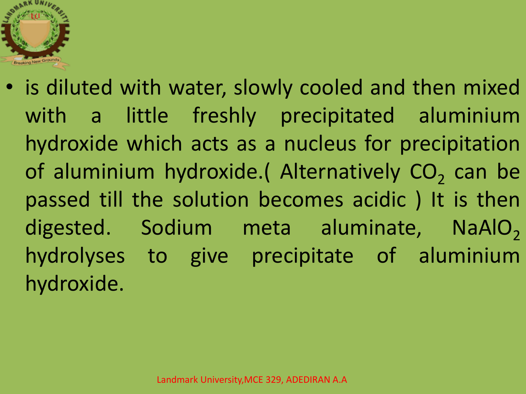

• is diluted with water, slowly cooled and then mixed with a little freshly precipitated aluminium hydroxide which acts as a nucleus for precipitation of aluminium hydroxide. (Alternatively  $CO_2$  can be passed till the solution becomes acidic ) It is then digested. Sodium meta aluminate, NaAlO<sub>2</sub> hydrolyses to give precipitate of aluminium hydroxide.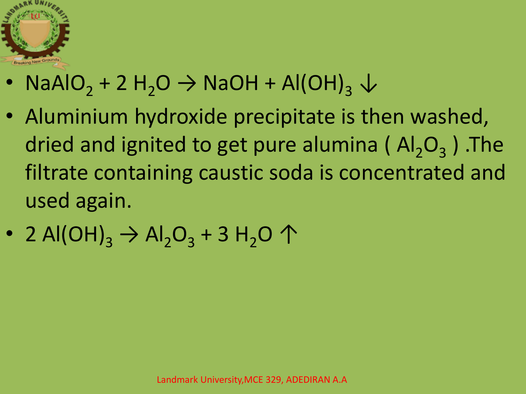

- NaAlO<sub>2</sub> + 2 H<sub>2</sub>O  $\rightarrow$  NaOH + Al(OH)<sub>3</sub>  $\downarrow$
- Aluminium hydroxide precipitate is then washed, dried and ignited to get pure alumina ( $Al_2O_3$ ). The filtrate containing caustic soda is concentrated and used again.
- 2 Al(OH)<sub>3</sub>  $\rightarrow$  Al<sub>2</sub>O<sub>3</sub> + 3 H<sub>2</sub>O  $\uparrow$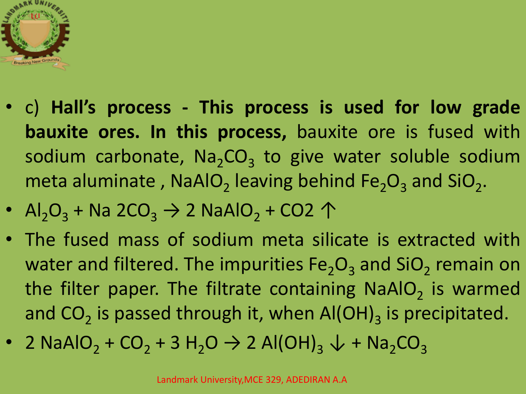

- c) **Hall's process - This process is used for low grade bauxite ores. In this process,** bauxite ore is fused with sodium carbonate,  $\text{Na}_2\text{CO}_3$  to give water soluble sodium meta aluminate, NaAlO<sub>2</sub> leaving behind  $Fe<sub>2</sub>O<sub>3</sub>$  and SiO<sub>2</sub>.
- Al<sub>2</sub>O<sub>3</sub> + Na 2CO<sub>3</sub>  $\rightarrow$  2 NaAlO<sub>2</sub> + CO2  $\uparrow$
- The fused mass of sodium meta silicate is extracted with water and filtered. The impurities  $\text{Fe}_2\text{O}_3$  and SiO<sub>2</sub> remain on the filter paper. The filtrate containing NaAlO<sub>2</sub> is warmed and CO<sub>2</sub> is passed through it, when Al(OH)<sub>3</sub> is precipitated.
- 2 NaAlO<sub>2</sub> + CO<sub>2</sub> + 3 H<sub>2</sub>O  $\rightarrow$  2 Al(OH)<sub>3</sub>  $\downarrow$  + Na<sub>2</sub>CO<sub>3</sub>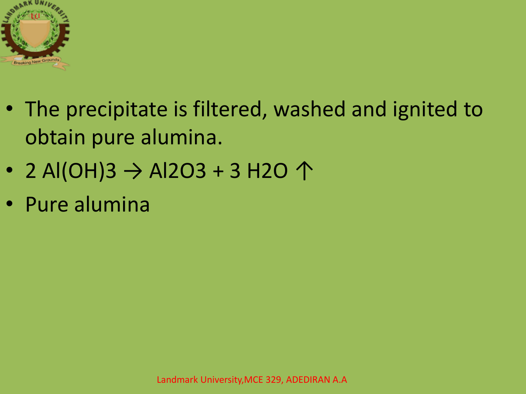

- The precipitate is filtered, washed and ignited to obtain pure alumina.
- 2 Al(OH)3  $\rightarrow$  Al2O3 + 3 H2O  $\uparrow$
- Pure alumina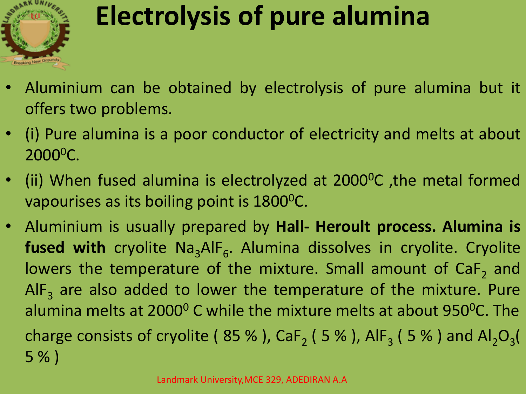

### **Electrolysis of pure alumina**

- Aluminium can be obtained by electrolysis of pure alumina but it offers two problems.
- (i) Pure alumina is a poor conductor of electricity and melts at about 2000<sup>o</sup>C.
- (ii) When fused alumina is electrolyzed at 2000<sup>o</sup>C, the metal formed vapourises as its boiling point is 1800<sup>o</sup>C.
- Aluminium is usually prepared by **Hall- Heroult process. Alumina is** fused with cryolite Na<sub>3</sub>AlF<sub>6</sub>. Alumina dissolves in cryolite. Cryolite lowers the temperature of the mixture. Small amount of CaF<sub>2</sub> and AlF<sub>3</sub> are also added to lower the temperature of the mixture. Pure alumina melts at 2000<sup>0</sup> C while the mixture melts at about 950<sup>0</sup>C. The charge consists of cryolite (  $85\%$  ), CaF<sub>2</sub> (  $5\%$  ), AlF<sub>3</sub> (  $5\%$  ) and Al<sub>2</sub>O<sub>3</sub>( 5 % )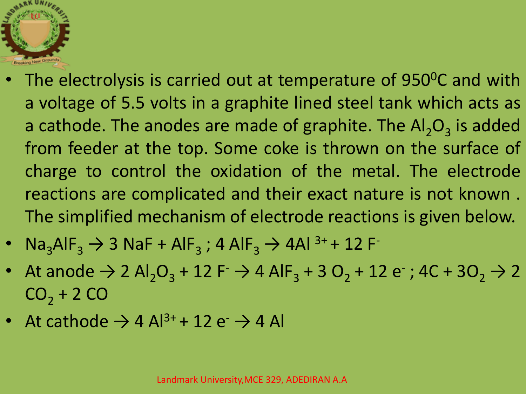

- The electrolysis is carried out at temperature of 950°C and with a voltage of 5.5 volts in a graphite lined steel tank which acts as a cathode. The anodes are made of graphite. The  $\mathsf{Al}_2\mathsf{O}_3$  is added from feeder at the top. Some coke is thrown on the surface of charge to control the oxidation of the metal. The electrode reactions are complicated and their exact nature is not known . The simplified mechanism of electrode reactions is given below.
- $\text{Na}_3\text{AlF}_3 \rightarrow 3 \text{NaF} + \text{AlF}_3$ ; 4  $\text{AlF}_3 \rightarrow 4 \text{Al}^{3+} + 12 \text{F}$
- At anode  $\rightarrow$  2 Al<sub>2</sub>O<sub>3</sub> + 12 F<sup>-</sup>  $\rightarrow$  4 AlF<sub>3</sub> + 3 O<sub>2</sub> + 12 e<sup>-</sup>; 4C + 3O<sub>2</sub>  $\rightarrow$  2  $CO<sub>2</sub> + 2 CO$
- At cathode  $\rightarrow$  4 Al<sup>3+</sup> + 12 e<sup>-</sup>  $\rightarrow$  4 Al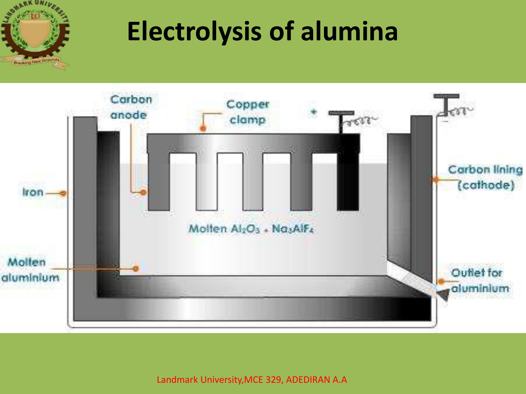

#### **Electrolysis of alumina**



Landmark University,MCE 329, ADEDIRAN A.A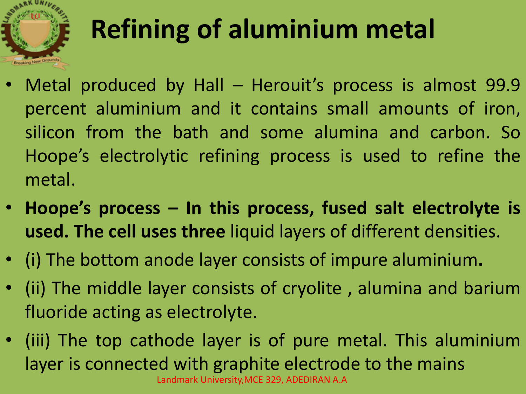

# **Refining of aluminium metal**

- Metal produced by Hall Herouit's process is almost 99.9 percent aluminium and it contains small amounts of iron, silicon from the bath and some alumina and carbon. So Hoope's electrolytic refining process is used to refine the metal.
- **Hoope's process – In this process, fused salt electrolyte is used. The cell uses three** liquid layers of different densities.
- (i) The bottom anode layer consists of impure aluminium**.**
- (ii) The middle layer consists of cryolite , alumina and barium fluoride acting as electrolyte.
- (iii) The top cathode layer is of pure metal. This aluminium layer is connected with graphite electrode to the mains Landmark University,MCE 329, ADEDIRAN A.A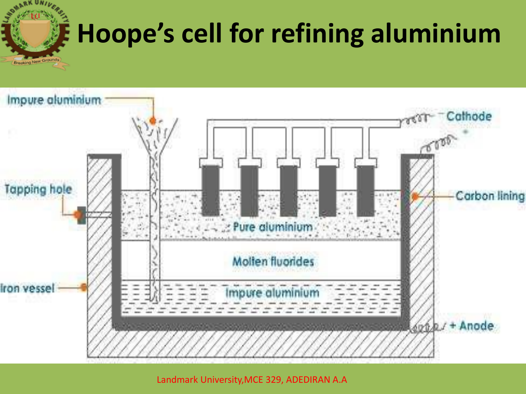

## **Hoope's cell for refining aluminium**



Landmark University,MCE 329, ADEDIRAN A.A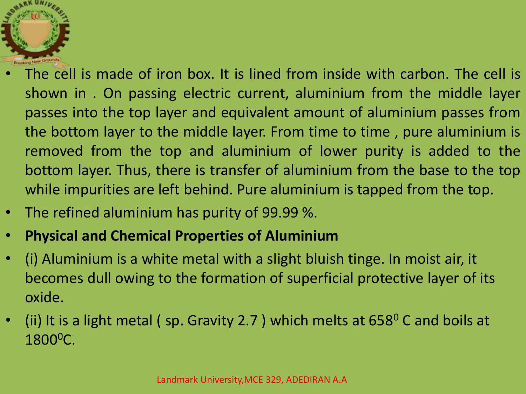

- The cell is made of iron box. It is lined from inside with carbon. The cell is shown in . On passing electric current, aluminium from the middle layer passes into the top layer and equivalent amount of aluminium passes from the bottom layer to the middle layer. From time to time , pure aluminium is removed from the top and aluminium of lower purity is added to the bottom layer. Thus, there is transfer of aluminium from the base to the top while impurities are left behind. Pure aluminium is tapped from the top.
- The refined aluminium has purity of 99.99 %.
- **Physical and Chemical Properties of Aluminium**
- (i) Aluminium is a white metal with a slight bluish tinge. In moist air, it becomes dull owing to the formation of superficial protective layer of its oxide.
- (ii) It is a light metal (sp. Gravity 2.7) which melts at  $658^{\circ}$  C and boils at 1800<sup>o</sup>C.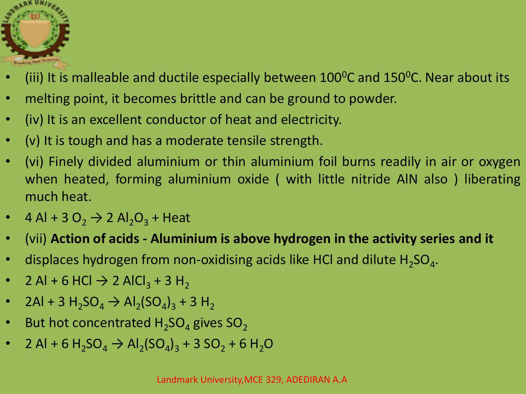

- (iii) It is malleable and ductile especially between  $100^0C$  and  $150^0C$ . Near about its
- melting point, it becomes brittle and can be ground to powder.
- (iv) It is an excellent conductor of heat and electricity.
- (v) It is tough and has a moderate tensile strength.
- (vi) Finely divided aluminium or thin aluminium foil burns readily in air or oxygen when heated, forming aluminium oxide ( with little nitride AlN also ) liberating much heat.
- 4 Al + 3 O<sub>2</sub>  $\rightarrow$  2 Al<sub>2</sub>O<sub>3</sub> + Heat
- (vii) **Action of acids - Aluminium is above hydrogen in the activity series and it**
- displaces hydrogen from non-oxidising acids like HCl and dilute  $H_2SO_4$ .
- 2 Al + 6 HCl  $\rightarrow$  2 AlCl<sub>3</sub> + 3 H<sub>2</sub>
- 2Al + 3 H<sub>2</sub>SO<sub>4</sub>  $\rightarrow$  Al<sub>2</sub>(SO<sub>4</sub>)<sub>3</sub> + 3 H<sub>2</sub>
- But hot concentrated  $H_2SO_4$  gives  $SO_2$
- 2 Al + 6 H<sub>2</sub>SO<sub>4</sub>  $\rightarrow$  Al<sub>2</sub>(SO<sub>4</sub>)<sub>3</sub> + 3 SO<sub>2</sub> + 6 H<sub>2</sub>O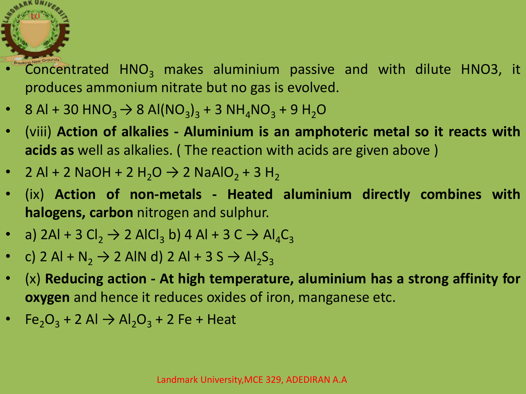

- Concentrated  $HNO<sub>3</sub>$  makes aluminium passive and with dilute HNO3, it produces ammonium nitrate but no gas is evolved.
- 8 Al + 30 HNO<sub>3</sub>  $\rightarrow$  8 Al(NO<sub>3</sub>)<sub>3</sub> + 3 NH<sub>4</sub>NO<sub>3</sub> + 9 H<sub>2</sub>O
- (viii) **Action of alkalies - Aluminium is an amphoteric metal so it reacts with acids as** well as alkalies. ( The reaction with acids are given above )
- 2 Al + 2 NaOH + 2 H<sub>2</sub>O  $\rightarrow$  2 NaAlO<sub>2</sub> + 3 H<sub>2</sub>
- (ix) **Action of non-metals - Heated aluminium directly combines with halogens, carbon** nitrogen and sulphur.
- a) 2Al + 3 Cl<sub>2</sub>  $\rightarrow$  2 AlCl<sub>3</sub> b) 4 Al + 3 C  $\rightarrow$  Al<sub>4</sub>C<sub>3</sub>
- c) 2 Al + N<sub>2</sub>  $\rightarrow$  2 AlN d) 2 Al + 3 S  $\rightarrow$  Al<sub>2</sub>S<sub>3</sub>
- (x) **Reducing action - At high temperature, aluminium has a strong affinity for oxygen** and hence it reduces oxides of iron, manganese etc.
- Fe<sub>2</sub>O<sub>3</sub> + 2 Al  $\rightarrow$  Al<sub>2</sub>O<sub>3</sub> + 2 Fe + Heat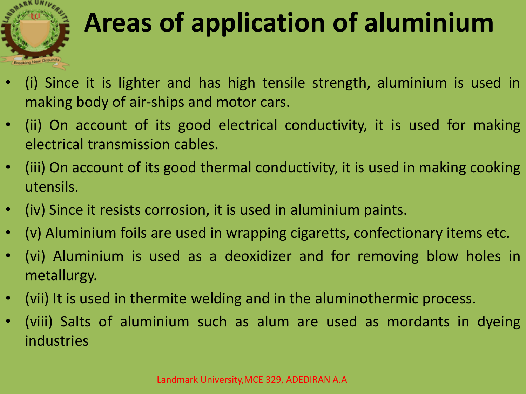

## **Areas of application of aluminium**

- (i) Since it is lighter and has high tensile strength, aluminium is used in making body of air-ships and motor cars.
- (ii) On account of its good electrical conductivity, it is used for making electrical transmission cables.
- (iii) On account of its good thermal conductivity, it is used in making cooking utensils.
- (iv) Since it resists corrosion, it is used in aluminium paints.
- (v) Aluminium foils are used in wrapping cigaretts, confectionary items etc.
- (vi) Aluminium is used as a deoxidizer and for removing blow holes in metallurgy.
- (vii) It is used in thermite welding and in the aluminothermic process.
- (viii) Salts of aluminium such as alum are used as mordants in dyeing industries